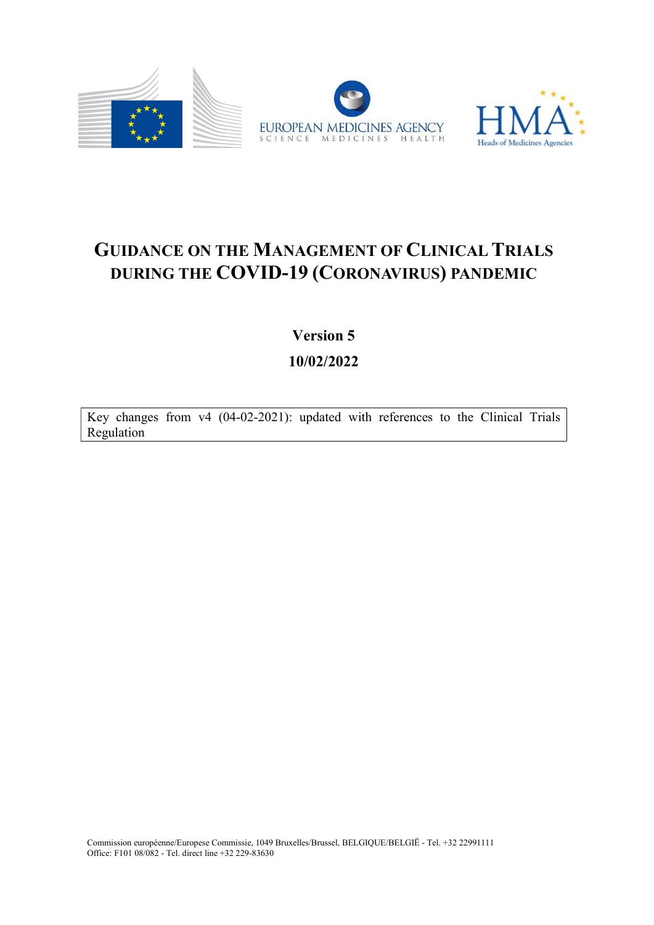



# GUIDANCE ON THE MANAGEMENT OF CLINICAL TRIALS DURING THE COVID-19 (CORONAVIRUS) PANDEMIC

Version 5

10/02/2022

Key changes from v4 (04-02-2021): updated with references to the Clinical Trials Regulation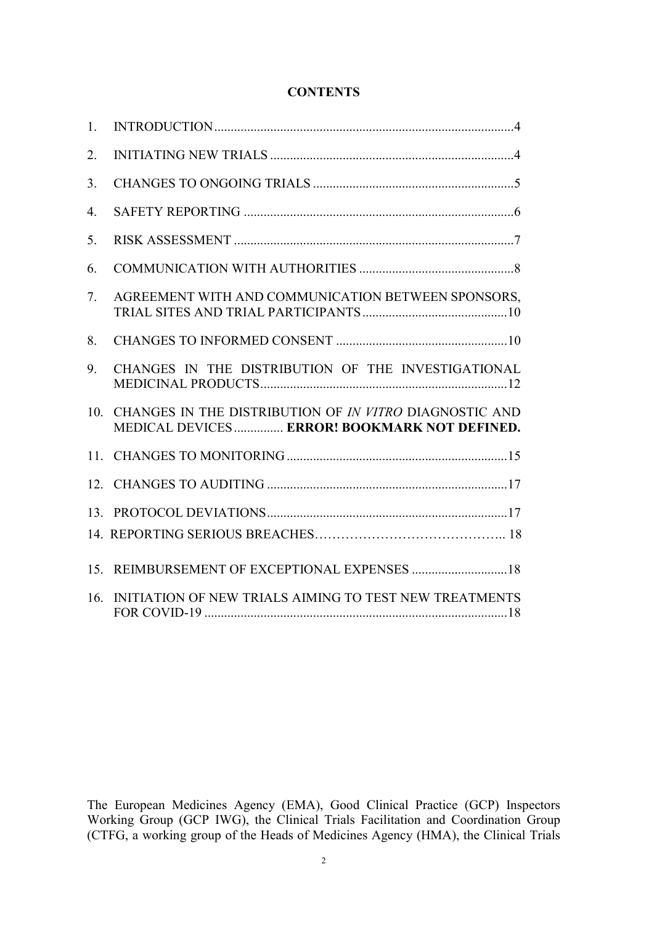# **CONTENTS**

| 1.               |                                                                                                        |
|------------------|--------------------------------------------------------------------------------------------------------|
| 2.               |                                                                                                        |
| 3.               |                                                                                                        |
| $\overline{4}$ . |                                                                                                        |
| 5.               |                                                                                                        |
| 6.               |                                                                                                        |
| 7.               | AGREEMENT WITH AND COMMUNICATION BETWEEN SPONSORS,                                                     |
| 8.               |                                                                                                        |
| 9.               | CHANGES IN THE DISTRIBUTION OF THE INVESTIGATIONAL                                                     |
| 10.              | CHANGES IN THE DISTRIBUTION OF IN VITRO DIAGNOSTIC AND<br>MEDICAL DEVICES ERROR! BOOKMARK NOT DEFINED. |
|                  |                                                                                                        |
|                  |                                                                                                        |
|                  |                                                                                                        |
|                  |                                                                                                        |
|                  |                                                                                                        |
| 16.              | INITIATION OF NEW TRIALS AIMING TO TEST NEW TREATMENTS                                                 |

The European Medicines Agency (EMA), Good Clinical Practice (GCP) Inspectors Working Group (GCP IWG), the Clinical Trials Facilitation and Coordination Group (CTFG, a working group of the Heads of Medicines Agency (HMA), the Clinical Trials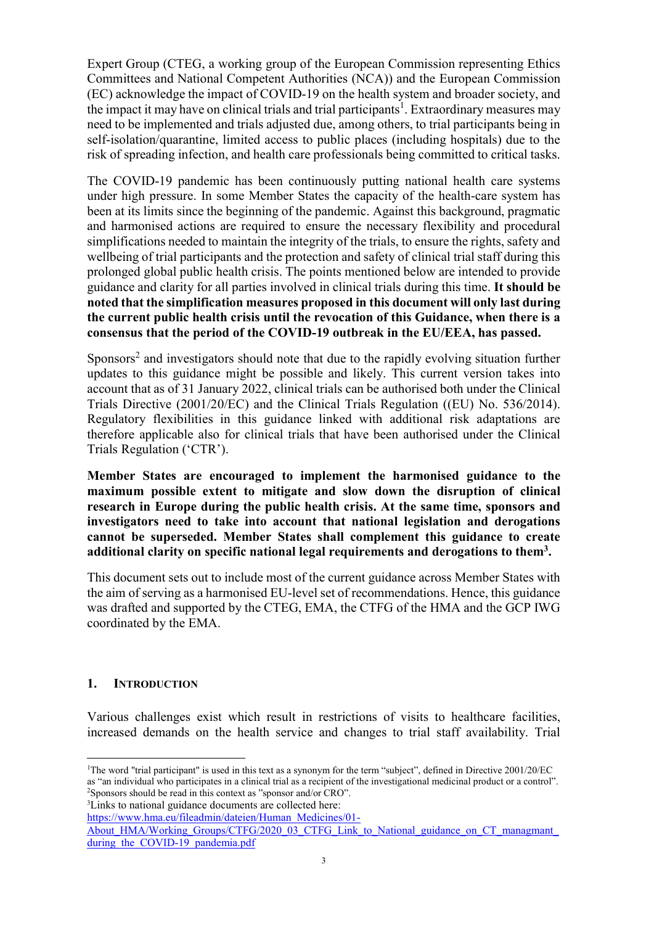Expert Group (CTEG, a working group of the European Commission representing Ethics Committees and National Competent Authorities (NCA)) and the European Commission (EC) acknowledge the impact of COVID-19 on the health system and broader society, and the impact it may have on clinical trials and trial participants<sup>1</sup>. Extraordinary measures may need to be implemented and trials adjusted due, among others, to trial participants being in self-isolation/quarantine, limited access to public places (including hospitals) due to the risk of spreading infection, and health care professionals being committed to critical tasks.

The COVID-19 pandemic has been continuously putting national health care systems under high pressure. In some Member States the capacity of the health-care system has been at its limits since the beginning of the pandemic. Against this background, pragmatic and harmonised actions are required to ensure the necessary flexibility and procedural simplifications needed to maintain the integrity of the trials, to ensure the rights, safety and wellbeing of trial participants and the protection and safety of clinical trial staff during this prolonged global public health crisis. The points mentioned below are intended to provide guidance and clarity for all parties involved in clinical trials during this time. It should be noted that the simplification measures proposed in this document will only last during the current public health crisis until the revocation of this Guidance, when there is a consensus that the period of the COVID-19 outbreak in the EU/EEA, has passed.

Sponsors<sup>2</sup> and investigators should note that due to the rapidly evolving situation further updates to this guidance might be possible and likely. This current version takes into account that as of 31 January 2022, clinical trials can be authorised both under the Clinical Trials Directive (2001/20/EC) and the Clinical Trials Regulation ((EU) No. 536/2014). Regulatory flexibilities in this guidance linked with additional risk adaptations are therefore applicable also for clinical trials that have been authorised under the Clinical Trials Regulation ('CTR').

Member States are encouraged to implement the harmonised guidance to the maximum possible extent to mitigate and slow down the disruption of clinical research in Europe during the public health crisis. At the same time, sponsors and investigators need to take into account that national legislation and derogations cannot be superseded. Member States shall complement this guidance to create additional clarity on specific national legal requirements and derogations to them<sup>3</sup>.

This document sets out to include most of the current guidance across Member States with the aim of serving as a harmonised EU-level set of recommendations. Hence, this guidance was drafted and supported by the CTEG, EMA, the CTFG of the HMA and the GCP IWG coordinated by the EMA.

# 1. INTRODUCTION

Various challenges exist which result in restrictions of visits to healthcare facilities, increased demands on the health service and changes to trial staff availability. Trial

<sup>3</sup>Links to national guidance documents are collected here:

 $\overline{a}$ <sup>1</sup>The word "trial participant" is used in this text as a synonym for the term "subject", defined in Directive 2001/20/EC as "an individual who participates in a clinical trial as a recipient of the investigational medicinal product or a control". <sup>2</sup>Sponsors should be read in this context as "sponsor and/or CRO".

https://www.hma.eu/fileadmin/dateien/Human\_Medicines/01-

About HMA/Working Groups/CTFG/2020\_03\_CTFG\_Link\_to\_National\_guidance\_on\_CT\_managmant during the COVID-19 pandemia.pdf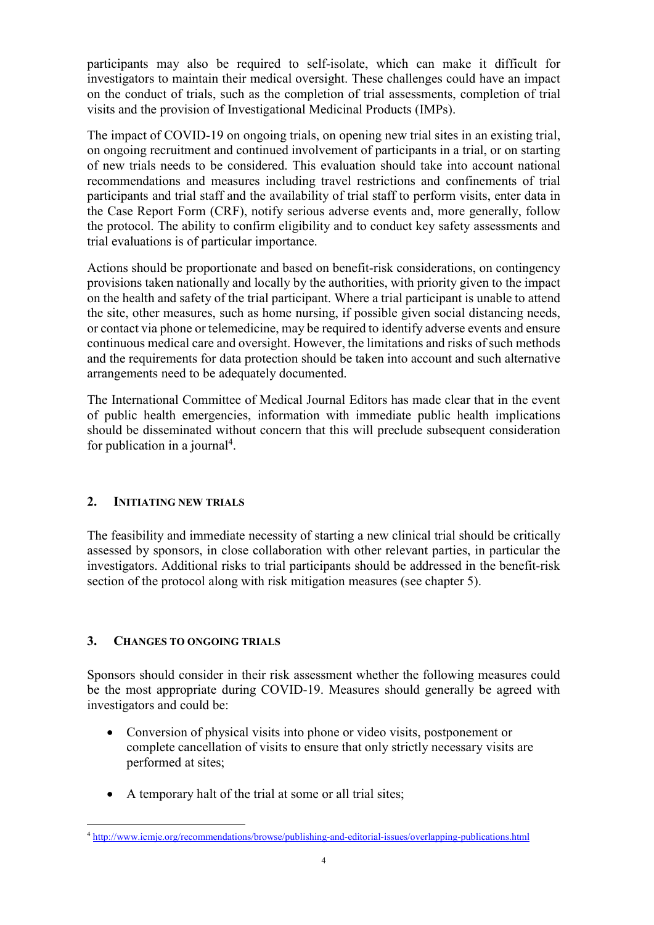participants may also be required to self-isolate, which can make it difficult for investigators to maintain their medical oversight. These challenges could have an impact on the conduct of trials, such as the completion of trial assessments, completion of trial visits and the provision of Investigational Medicinal Products (IMPs).

The impact of COVID-19 on ongoing trials, on opening new trial sites in an existing trial, on ongoing recruitment and continued involvement of participants in a trial, or on starting of new trials needs to be considered. This evaluation should take into account national recommendations and measures including travel restrictions and confinements of trial participants and trial staff and the availability of trial staff to perform visits, enter data in the Case Report Form (CRF), notify serious adverse events and, more generally, follow the protocol. The ability to confirm eligibility and to conduct key safety assessments and trial evaluations is of particular importance.

Actions should be proportionate and based on benefit-risk considerations, on contingency provisions taken nationally and locally by the authorities, with priority given to the impact on the health and safety of the trial participant. Where a trial participant is unable to attend the site, other measures, such as home nursing, if possible given social distancing needs, or contact via phone or telemedicine, may be required to identify adverse events and ensure continuous medical care and oversight. However, the limitations and risks of such methods and the requirements for data protection should be taken into account and such alternative arrangements need to be adequately documented.

The International Committee of Medical Journal Editors has made clear that in the event of public health emergencies, information with immediate public health implications should be disseminated without concern that this will preclude subsequent consideration for publication in a journal<sup>4</sup>.

# 2. INITIATING NEW TRIALS

The feasibility and immediate necessity of starting a new clinical trial should be critically assessed by sponsors, in close collaboration with other relevant parties, in particular the investigators. Additional risks to trial participants should be addressed in the benefit-risk section of the protocol along with risk mitigation measures (see chapter 5).

# 3. CHANGES TO ONGOING TRIALS

Sponsors should consider in their risk assessment whether the following measures could be the most appropriate during COVID-19. Measures should generally be agreed with investigators and could be:

- Conversion of physical visits into phone or video visits, postponement or complete cancellation of visits to ensure that only strictly necessary visits are performed at sites;
- A temporary halt of the trial at some or all trial sites;

 $\overline{a}$ <sup>4</sup> http://www.icmje.org/recommendations/browse/publishing-and-editorial-issues/overlapping-publications.html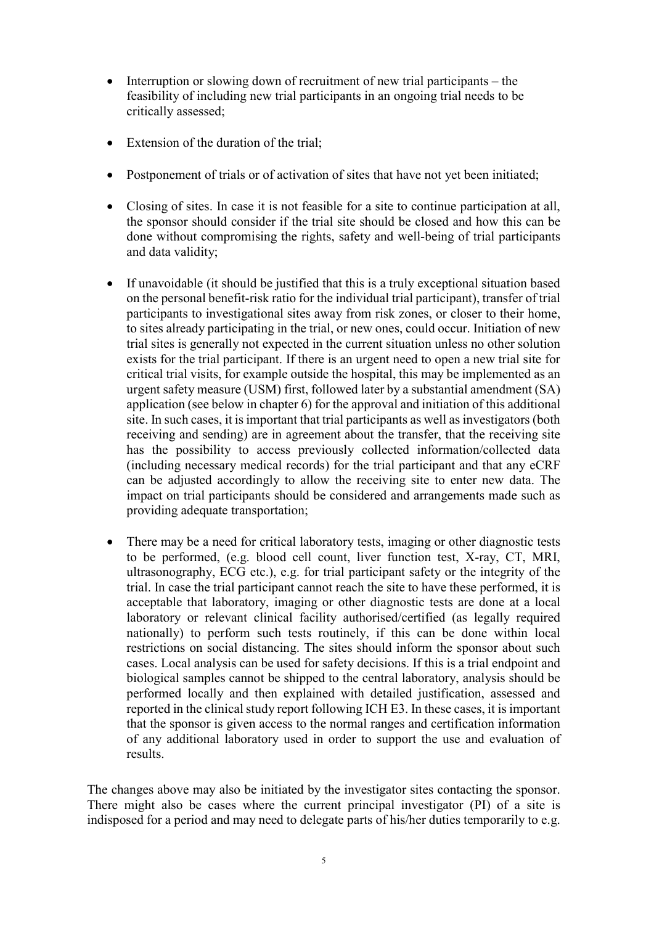- $\bullet$  Interruption or slowing down of recruitment of new trial participants the feasibility of including new trial participants in an ongoing trial needs to be critically assessed;
- Extension of the duration of the trial:
- Postponement of trials or of activation of sites that have not yet been initiated;
- Closing of sites. In case it is not feasible for a site to continue participation at all, the sponsor should consider if the trial site should be closed and how this can be done without compromising the rights, safety and well-being of trial participants and data validity;
- If unavoidable (it should be justified that this is a truly exceptional situation based on the personal benefit-risk ratio for the individual trial participant), transfer of trial participants to investigational sites away from risk zones, or closer to their home, to sites already participating in the trial, or new ones, could occur. Initiation of new trial sites is generally not expected in the current situation unless no other solution exists for the trial participant. If there is an urgent need to open a new trial site for critical trial visits, for example outside the hospital, this may be implemented as an urgent safety measure (USM) first, followed later by a substantial amendment (SA) application (see below in chapter 6) for the approval and initiation of this additional site. In such cases, it is important that trial participants as well as investigators (both receiving and sending) are in agreement about the transfer, that the receiving site has the possibility to access previously collected information/collected data (including necessary medical records) for the trial participant and that any eCRF can be adjusted accordingly to allow the receiving site to enter new data. The impact on trial participants should be considered and arrangements made such as providing adequate transportation;
- There may be a need for critical laboratory tests, imaging or other diagnostic tests to be performed, (e.g. blood cell count, liver function test, X-ray, CT, MRI, ultrasonography, ECG etc.), e.g. for trial participant safety or the integrity of the trial. In case the trial participant cannot reach the site to have these performed, it is acceptable that laboratory, imaging or other diagnostic tests are done at a local laboratory or relevant clinical facility authorised/certified (as legally required nationally) to perform such tests routinely, if this can be done within local restrictions on social distancing. The sites should inform the sponsor about such cases. Local analysis can be used for safety decisions. If this is a trial endpoint and biological samples cannot be shipped to the central laboratory, analysis should be performed locally and then explained with detailed justification, assessed and reported in the clinical study report following ICH E3. In these cases, it is important that the sponsor is given access to the normal ranges and certification information of any additional laboratory used in order to support the use and evaluation of results.

The changes above may also be initiated by the investigator sites contacting the sponsor. There might also be cases where the current principal investigator (PI) of a site is indisposed for a period and may need to delegate parts of his/her duties temporarily to e.g.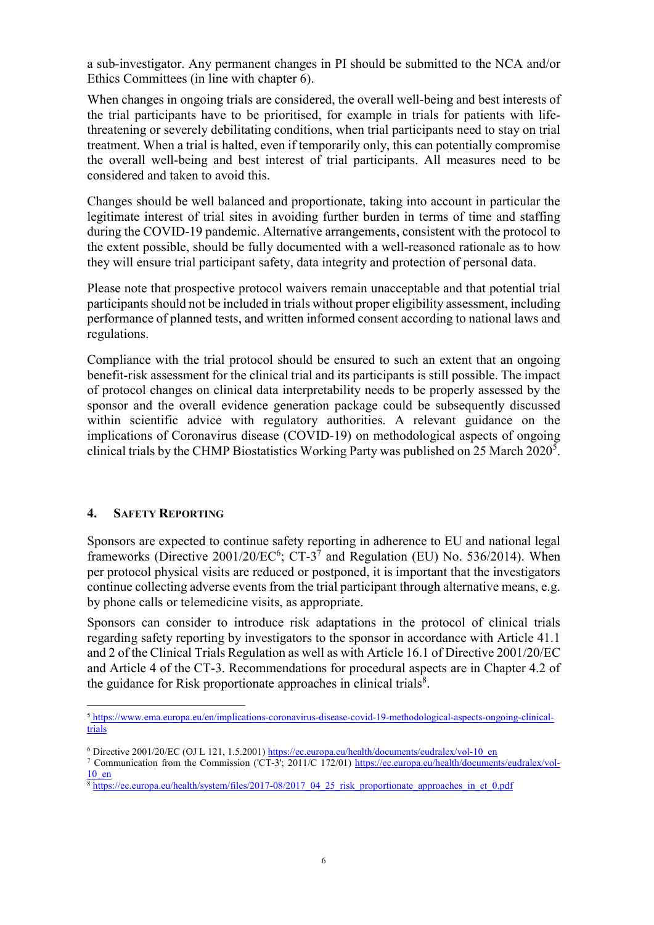a sub-investigator. Any permanent changes in PI should be submitted to the NCA and/or Ethics Committees (in line with chapter 6).

When changes in ongoing trials are considered, the overall well-being and best interests of the trial participants have to be prioritised, for example in trials for patients with lifethreatening or severely debilitating conditions, when trial participants need to stay on trial treatment. When a trial is halted, even if temporarily only, this can potentially compromise the overall well-being and best interest of trial participants. All measures need to be considered and taken to avoid this.

Changes should be well balanced and proportionate, taking into account in particular the legitimate interest of trial sites in avoiding further burden in terms of time and staffing during the COVID-19 pandemic. Alternative arrangements, consistent with the protocol to the extent possible, should be fully documented with a well-reasoned rationale as to how they will ensure trial participant safety, data integrity and protection of personal data.

Please note that prospective protocol waivers remain unacceptable and that potential trial participants should not be included in trials without proper eligibility assessment, including performance of planned tests, and written informed consent according to national laws and regulations.

Compliance with the trial protocol should be ensured to such an extent that an ongoing benefit-risk assessment for the clinical trial and its participants is still possible. The impact of protocol changes on clinical data interpretability needs to be properly assessed by the sponsor and the overall evidence generation package could be subsequently discussed within scientific advice with regulatory authorities. A relevant guidance on the implications of Coronavirus disease (COVID-19) on methodological aspects of ongoing clinical trials by the CHMP Biostatistics Working Party was published on 25 March 2020<sup>5</sup>.

# 4. SAFETY REPORTING

 $\overline{a}$ 

Sponsors are expected to continue safety reporting in adherence to EU and national legal frameworks (Directive  $2001/20$ / $EC^6$ ; CT-3<sup>7</sup> and Regulation (EU) No. 536/2014). When per protocol physical visits are reduced or postponed, it is important that the investigators continue collecting adverse events from the trial participant through alternative means, e.g. by phone calls or telemedicine visits, as appropriate.

Sponsors can consider to introduce risk adaptations in the protocol of clinical trials regarding safety reporting by investigators to the sponsor in accordance with Article 41.1 and 2 of the Clinical Trials Regulation as well as with Article 16.1 of Directive 2001/20/EC and Article 4 of the CT-3. Recommendations for procedural aspects are in Chapter 4.2 of the guidance for Risk proportionate approaches in clinical trials $8$ .

<sup>&</sup>lt;sup>5</sup> https://www.ema.europa.eu/en/implications-coronavirus-disease-covid-19-methodological-aspects-ongoing-clinicaltrials

<sup>&</sup>lt;sup>6</sup> Directive 2001/20/EC (OJ L 121, 1.5.2001) https://ec.europa.eu/health/documents/eudralex/vol-10\_en

<sup>&</sup>lt;sup>7</sup> Communication from the Commission ('CT-3'; 2011/C 172/01) https://ec.europa.eu/health/documents/eudralex/vol-10\_en

<sup>&</sup>lt;sup>8</sup> https://ec.europa.eu/health/system/files/2017-08/2017\_04\_25\_risk\_proportionate\_approaches\_in\_ct\_0.pdf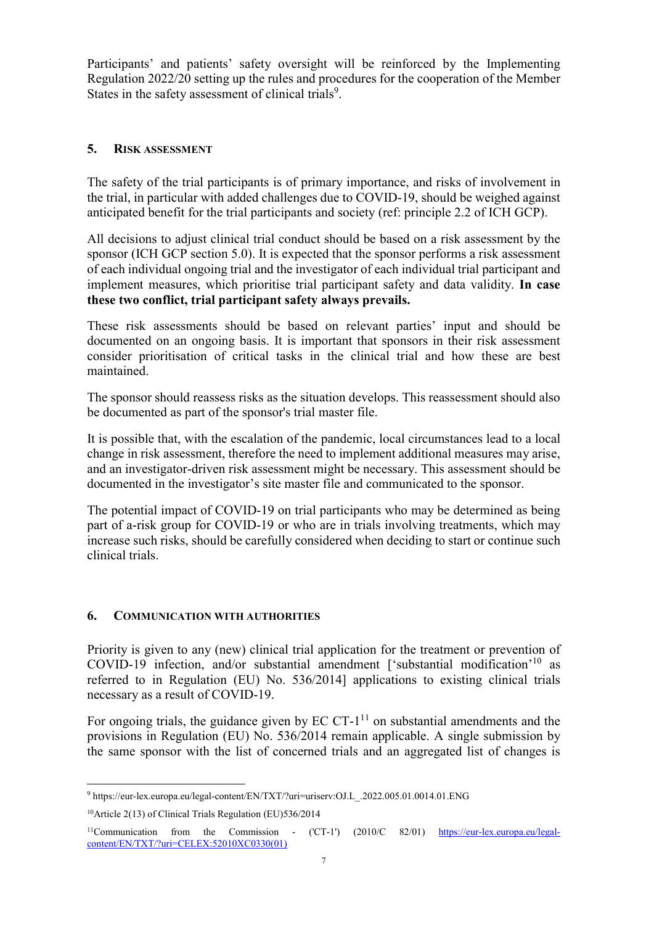Participants' and patients' safety oversight will be reinforced by the Implementing Regulation 2022/20 setting up the rules and procedures for the cooperation of the Member States in the safety assessment of clinical trials<sup>9</sup>.

## 5. RISK ASSESSMENT

The safety of the trial participants is of primary importance, and risks of involvement in the trial, in particular with added challenges due to COVID-19, should be weighed against anticipated benefit for the trial participants and society (ref: principle 2.2 of ICH GCP).

All decisions to adjust clinical trial conduct should be based on a risk assessment by the sponsor (ICH GCP section 5.0). It is expected that the sponsor performs a risk assessment of each individual ongoing trial and the investigator of each individual trial participant and implement measures, which prioritise trial participant safety and data validity. In case these two conflict, trial participant safety always prevails.

These risk assessments should be based on relevant parties' input and should be documented on an ongoing basis. It is important that sponsors in their risk assessment consider prioritisation of critical tasks in the clinical trial and how these are best maintained.

The sponsor should reassess risks as the situation develops. This reassessment should also be documented as part of the sponsor's trial master file.

It is possible that, with the escalation of the pandemic, local circumstances lead to a local change in risk assessment, therefore the need to implement additional measures may arise, and an investigator-driven risk assessment might be necessary. This assessment should be documented in the investigator's site master file and communicated to the sponsor.

The potential impact of COVID-19 on trial participants who may be determined as being part of a-risk group for COVID-19 or who are in trials involving treatments, which may increase such risks, should be carefully considered when deciding to start or continue such clinical trials.

# 6. COMMUNICATION WITH AUTHORITIES

Priority is given to any (new) clinical trial application for the treatment or prevention of COVID-19 infection, and/or substantial amendment ['substantial modification'<sup>10</sup> as referred to in Regulation (EU) No. 536/2014] applications to existing clinical trials necessary as a result of COVID-19.

For ongoing trials, the guidance given by  $EC$   $CT-1<sup>11</sup>$  on substantial amendments and the provisions in Regulation (EU) No. 536/2014 remain applicable. A single submission by the same sponsor with the list of concerned trials and an aggregated list of changes is

 9 https://eur-lex.europa.eu/legal-content/EN/TXT/?uri=uriserv:OJ.L\_.2022.005.01.0014.01.ENG

<sup>10</sup>Article 2(13) of Clinical Trials Regulation (EU)536/2014

<sup>&</sup>lt;sup>11</sup>Communication from the Commission - ('CT-1') (2010/C 82/01) https://eur-lex.europa.eu/legalcontent/EN/TXT/?uri=CELEX:52010XC0330(01)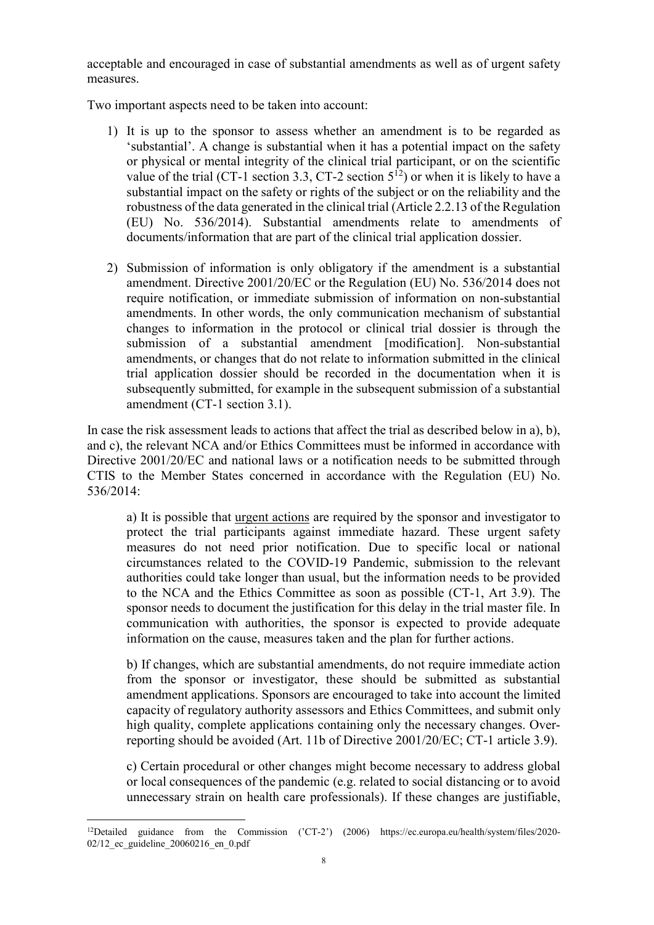acceptable and encouraged in case of substantial amendments as well as of urgent safety measures.

Two important aspects need to be taken into account:

- 1) It is up to the sponsor to assess whether an amendment is to be regarded as 'substantial'. A change is substantial when it has a potential impact on the safety or physical or mental integrity of the clinical trial participant, or on the scientific value of the trial (CT-1 section 3.3, CT-2 section  $5^{12}$ ) or when it is likely to have a substantial impact on the safety or rights of the subject or on the reliability and the robustness of the data generated in the clinical trial (Article 2.2.13 of the Regulation (EU) No. 536/2014). Substantial amendments relate to amendments of documents/information that are part of the clinical trial application dossier.
- 2) Submission of information is only obligatory if the amendment is a substantial amendment. Directive 2001/20/EC or the Regulation (EU) No. 536/2014 does not require notification, or immediate submission of information on non-substantial amendments. In other words, the only communication mechanism of substantial changes to information in the protocol or clinical trial dossier is through the submission of a substantial amendment [modification]. Non-substantial amendments, or changes that do not relate to information submitted in the clinical trial application dossier should be recorded in the documentation when it is subsequently submitted, for example in the subsequent submission of a substantial amendment (CT-1 section 3.1).

In case the risk assessment leads to actions that affect the trial as described below in a), b), and c), the relevant NCA and/or Ethics Committees must be informed in accordance with Directive 2001/20/EC and national laws or a notification needs to be submitted through CTIS to the Member States concerned in accordance with the Regulation (EU) No. 536/2014:

a) It is possible that urgent actions are required by the sponsor and investigator to protect the trial participants against immediate hazard. These urgent safety measures do not need prior notification. Due to specific local or national circumstances related to the COVID-19 Pandemic, submission to the relevant authorities could take longer than usual, but the information needs to be provided to the NCA and the Ethics Committee as soon as possible (CT-1, Art 3.9). The sponsor needs to document the justification for this delay in the trial master file. In communication with authorities, the sponsor is expected to provide adequate information on the cause, measures taken and the plan for further actions.

b) If changes, which are substantial amendments, do not require immediate action from the sponsor or investigator, these should be submitted as substantial amendment applications. Sponsors are encouraged to take into account the limited capacity of regulatory authority assessors and Ethics Committees, and submit only high quality, complete applications containing only the necessary changes. Overreporting should be avoided (Art. 11b of Directive 2001/20/EC; CT-1 article 3.9).

c) Certain procedural or other changes might become necessary to address global or local consequences of the pandemic (e.g. related to social distancing or to avoid unnecessary strain on health care professionals). If these changes are justifiable,

 $\overline{a}$ <sup>12</sup>Detailed guidance from the Commission ('CT-2') (2006) https://ec.europa.eu/health/system/files/2020- 02/12 ec guideline 20060216 en 0.pdf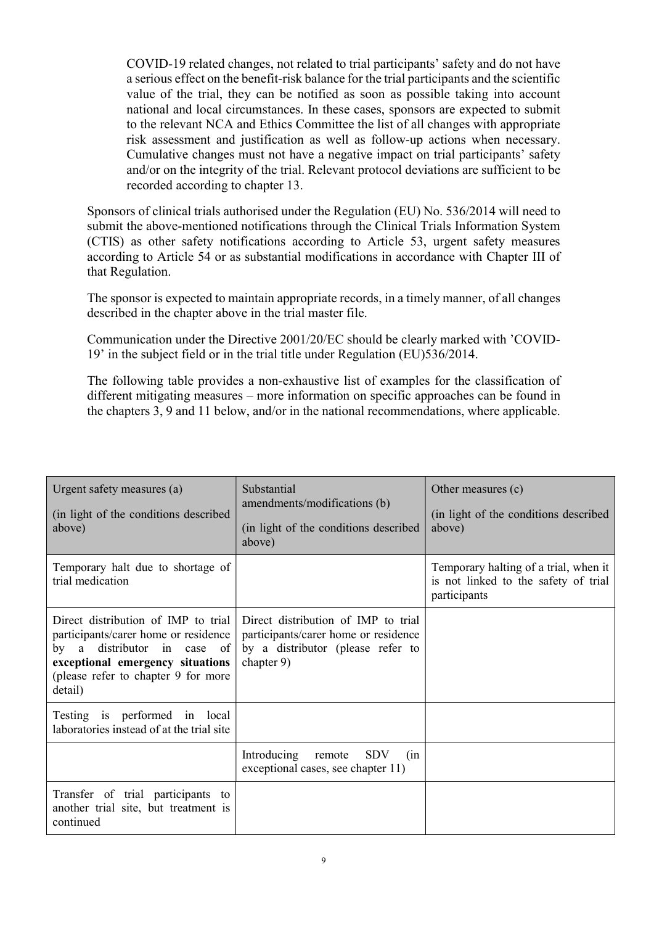COVID-19 related changes, not related to trial participants' safety and do not have a serious effect on the benefit-risk balance for the trial participants and the scientific value of the trial, they can be notified as soon as possible taking into account national and local circumstances. In these cases, sponsors are expected to submit to the relevant NCA and Ethics Committee the list of all changes with appropriate risk assessment and justification as well as follow-up actions when necessary. Cumulative changes must not have a negative impact on trial participants' safety and/or on the integrity of the trial. Relevant protocol deviations are sufficient to be recorded according to chapter 13.

Sponsors of clinical trials authorised under the Regulation (EU) No. 536/2014 will need to submit the above-mentioned notifications through the Clinical Trials Information System (CTIS) as other safety notifications according to Article 53, urgent safety measures according to Article 54 or as substantial modifications in accordance with Chapter III of that Regulation.

The sponsor is expected to maintain appropriate records, in a timely manner, of all changes described in the chapter above in the trial master file.

Communication under the Directive 2001/20/EC should be clearly marked with 'COVID-19' in the subject field or in the trial title under Regulation (EU)536/2014.

The following table provides a non-exhaustive list of examples for the classification of different mitigating measures – more information on specific approaches can be found in the chapters 3, 9 and 11 below, and/or in the national recommendations, where applicable.

| Urgent safety measures (a)<br>(in light of the conditions described)<br>above)                                                                                                                   | Substantial<br>amendments/modifications (b)<br>(in light of the conditions described)<br>above)                                | Other measures (c)<br>(in light of the conditions described)<br>above)                        |
|--------------------------------------------------------------------------------------------------------------------------------------------------------------------------------------------------|--------------------------------------------------------------------------------------------------------------------------------|-----------------------------------------------------------------------------------------------|
| Temporary halt due to shortage of<br>trial medication                                                                                                                                            |                                                                                                                                | Temporary halting of a trial, when it<br>is not linked to the safety of trial<br>participants |
| Direct distribution of IMP to trial<br>participants/carer home or residence<br>by a distributor in case of<br>exceptional emergency situations<br>(please refer to chapter 9 for more<br>detail) | Direct distribution of IMP to trial<br>participants/carer home or residence<br>by a distributor (please refer to<br>chapter 9) |                                                                                               |
| Testing is performed in local<br>laboratories instead of at the trial site                                                                                                                       |                                                                                                                                |                                                                                               |
|                                                                                                                                                                                                  | Introducing remote<br><b>SDV</b><br>(in<br>exceptional cases, see chapter 11)                                                  |                                                                                               |
| Transfer of trial participants to<br>another trial site, but treatment is<br>continued                                                                                                           |                                                                                                                                |                                                                                               |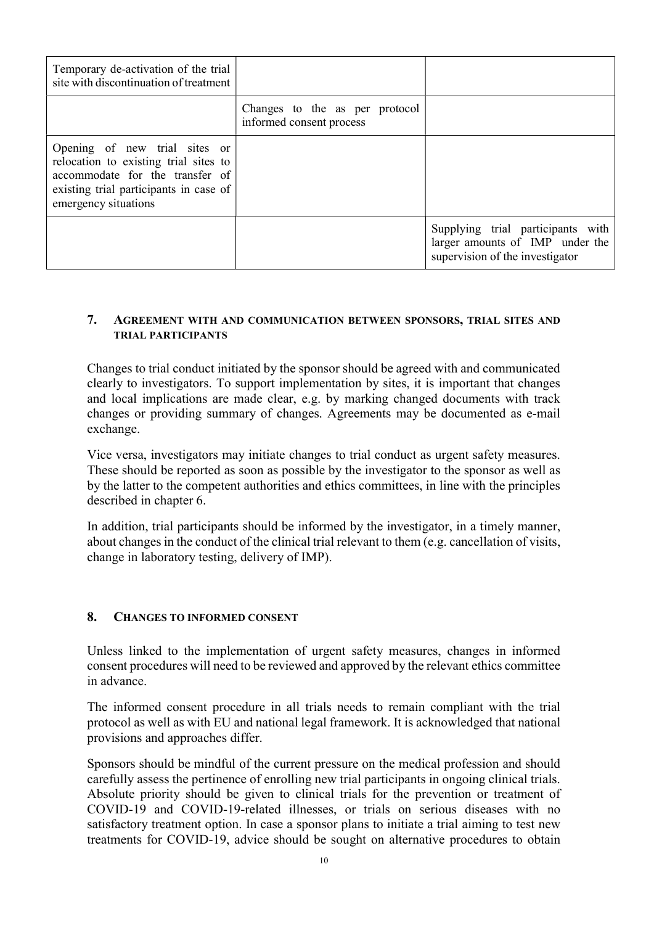| Temporary de-activation of the trial<br>site with discontinuation of treatment                                                                                              |                                                            |                                                                                                         |
|-----------------------------------------------------------------------------------------------------------------------------------------------------------------------------|------------------------------------------------------------|---------------------------------------------------------------------------------------------------------|
|                                                                                                                                                                             | Changes to the as per protocol<br>informed consent process |                                                                                                         |
| Opening of new trial sites or<br>relocation to existing trial sites to<br>accommodate for the transfer of<br>existing trial participants in case of<br>emergency situations |                                                            |                                                                                                         |
|                                                                                                                                                                             |                                                            | Supplying trial participants with<br>larger amounts of IMP under the<br>supervision of the investigator |

# 7. AGREEMENT WITH AND COMMUNICATION BETWEEN SPONSORS, TRIAL SITES AND TRIAL PARTICIPANTS

Changes to trial conduct initiated by the sponsor should be agreed with and communicated clearly to investigators. To support implementation by sites, it is important that changes and local implications are made clear, e.g. by marking changed documents with track changes or providing summary of changes. Agreements may be documented as e-mail exchange.

Vice versa, investigators may initiate changes to trial conduct as urgent safety measures. These should be reported as soon as possible by the investigator to the sponsor as well as by the latter to the competent authorities and ethics committees, in line with the principles described in chapter 6.

In addition, trial participants should be informed by the investigator, in a timely manner, about changes in the conduct of the clinical trial relevant to them (e.g. cancellation of visits, change in laboratory testing, delivery of IMP).

#### 8. CHANGES TO INFORMED CONSENT

Unless linked to the implementation of urgent safety measures, changes in informed consent procedures will need to be reviewed and approved by the relevant ethics committee in advance.

The informed consent procedure in all trials needs to remain compliant with the trial protocol as well as with EU and national legal framework. It is acknowledged that national provisions and approaches differ.

Sponsors should be mindful of the current pressure on the medical profession and should carefully assess the pertinence of enrolling new trial participants in ongoing clinical trials. Absolute priority should be given to clinical trials for the prevention or treatment of COVID-19 and COVID-19-related illnesses, or trials on serious diseases with no satisfactory treatment option. In case a sponsor plans to initiate a trial aiming to test new treatments for COVID-19, advice should be sought on alternative procedures to obtain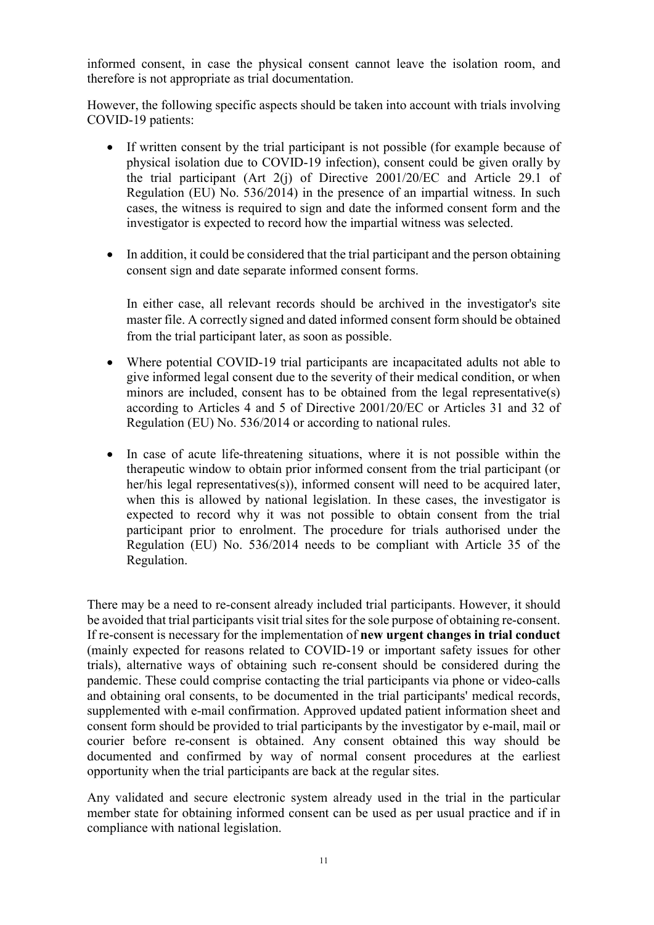informed consent, in case the physical consent cannot leave the isolation room, and therefore is not appropriate as trial documentation.

However, the following specific aspects should be taken into account with trials involving COVID-19 patients:

- If written consent by the trial participant is not possible (for example because of physical isolation due to COVID-19 infection), consent could be given orally by the trial participant (Art 2(j) of Directive 2001/20/EC and Article 29.1 of Regulation (EU) No. 536/2014) in the presence of an impartial witness. In such cases, the witness is required to sign and date the informed consent form and the investigator is expected to record how the impartial witness was selected.
- In addition, it could be considered that the trial participant and the person obtaining consent sign and date separate informed consent forms.

In either case, all relevant records should be archived in the investigator's site master file. A correctly signed and dated informed consent form should be obtained from the trial participant later, as soon as possible.

- Where potential COVID-19 trial participants are incapacitated adults not able to give informed legal consent due to the severity of their medical condition, or when minors are included, consent has to be obtained from the legal representative(s) according to Articles 4 and 5 of Directive 2001/20/EC or Articles 31 and 32 of Regulation (EU) No. 536/2014 or according to national rules.
- In case of acute life-threatening situations, where it is not possible within the therapeutic window to obtain prior informed consent from the trial participant (or her/his legal representatives(s)), informed consent will need to be acquired later, when this is allowed by national legislation. In these cases, the investigator is expected to record why it was not possible to obtain consent from the trial participant prior to enrolment. The procedure for trials authorised under the Regulation (EU) No. 536/2014 needs to be compliant with Article 35 of the Regulation.

There may be a need to re-consent already included trial participants. However, it should be avoided that trial participants visit trial sites for the sole purpose of obtaining re-consent. If re-consent is necessary for the implementation of new urgent changes in trial conduct (mainly expected for reasons related to COVID-19 or important safety issues for other trials), alternative ways of obtaining such re-consent should be considered during the pandemic. These could comprise contacting the trial participants via phone or video-calls and obtaining oral consents, to be documented in the trial participants' medical records, supplemented with e-mail confirmation. Approved updated patient information sheet and consent form should be provided to trial participants by the investigator by e-mail, mail or courier before re-consent is obtained. Any consent obtained this way should be documented and confirmed by way of normal consent procedures at the earliest opportunity when the trial participants are back at the regular sites.

Any validated and secure electronic system already used in the trial in the particular member state for obtaining informed consent can be used as per usual practice and if in compliance with national legislation.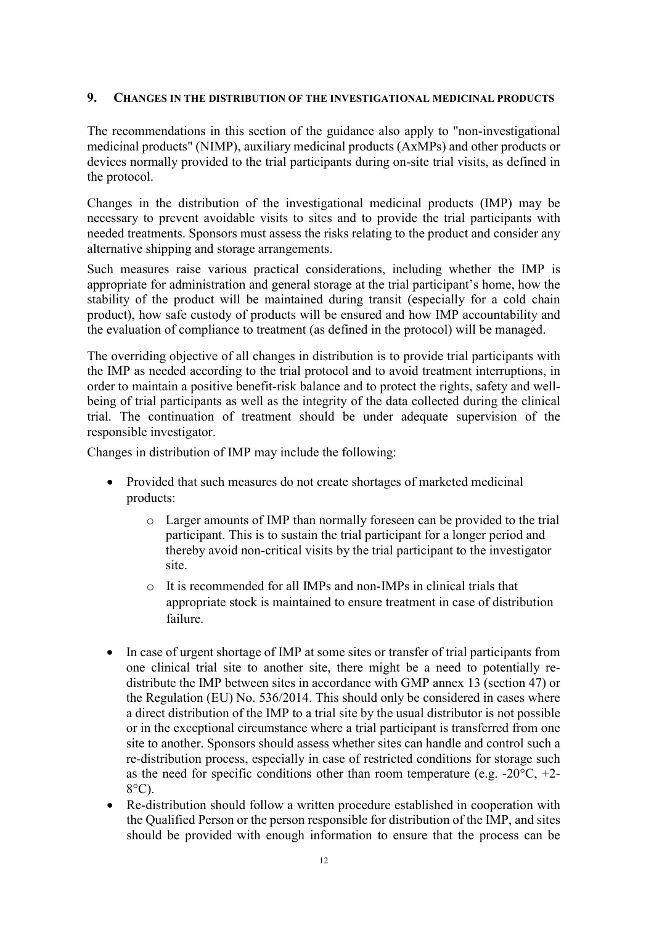## 9. CHANGES IN THE DISTRIBUTION OF THE INVESTIGATIONAL MEDICINAL PRODUCTS

The recommendations in this section of the guidance also apply to "non-investigational medicinal products" (NIMP), auxiliary medicinal products (AxMPs) and other products or devices normally provided to the trial participants during on-site trial visits, as defined in the protocol.

Changes in the distribution of the investigational medicinal products (IMP) may be necessary to prevent avoidable visits to sites and to provide the trial participants with needed treatments. Sponsors must assess the risks relating to the product and consider any alternative shipping and storage arrangements.

Such measures raise various practical considerations, including whether the IMP is appropriate for administration and general storage at the trial participant's home, how the stability of the product will be maintained during transit (especially for a cold chain product), how safe custody of products will be ensured and how IMP accountability and the evaluation of compliance to treatment (as defined in the protocol) will be managed.

The overriding objective of all changes in distribution is to provide trial participants with the IMP as needed according to the trial protocol and to avoid treatment interruptions, in order to maintain a positive benefit-risk balance and to protect the rights, safety and wellbeing of trial participants as well as the integrity of the data collected during the clinical trial. The continuation of treatment should be under adequate supervision of the responsible investigator.

Changes in distribution of IMP may include the following:

- Provided that such measures do not create shortages of marketed medicinal products:
	- o Larger amounts of IMP than normally foreseen can be provided to the trial participant. This is to sustain the trial participant for a longer period and thereby avoid non-critical visits by the trial participant to the investigator site.
	- o It is recommended for all IMPs and non-IMPs in clinical trials that appropriate stock is maintained to ensure treatment in case of distribution failure.
- In case of urgent shortage of IMP at some sites or transfer of trial participants from one clinical trial site to another site, there might be a need to potentially redistribute the IMP between sites in accordance with GMP annex 13 (section 47) or the Regulation (EU) No. 536/2014. This should only be considered in cases where a direct distribution of the IMP to a trial site by the usual distributor is not possible or in the exceptional circumstance where a trial participant is transferred from one site to another. Sponsors should assess whether sites can handle and control such a re-distribution process, especially in case of restricted conditions for storage such as the need for specific conditions other than room temperature (e.g.  $-20^{\circ}\text{C}$ ,  $+2$ -8°C).
- Re-distribution should follow a written procedure established in cooperation with the Qualified Person or the person responsible for distribution of the IMP, and sites should be provided with enough information to ensure that the process can be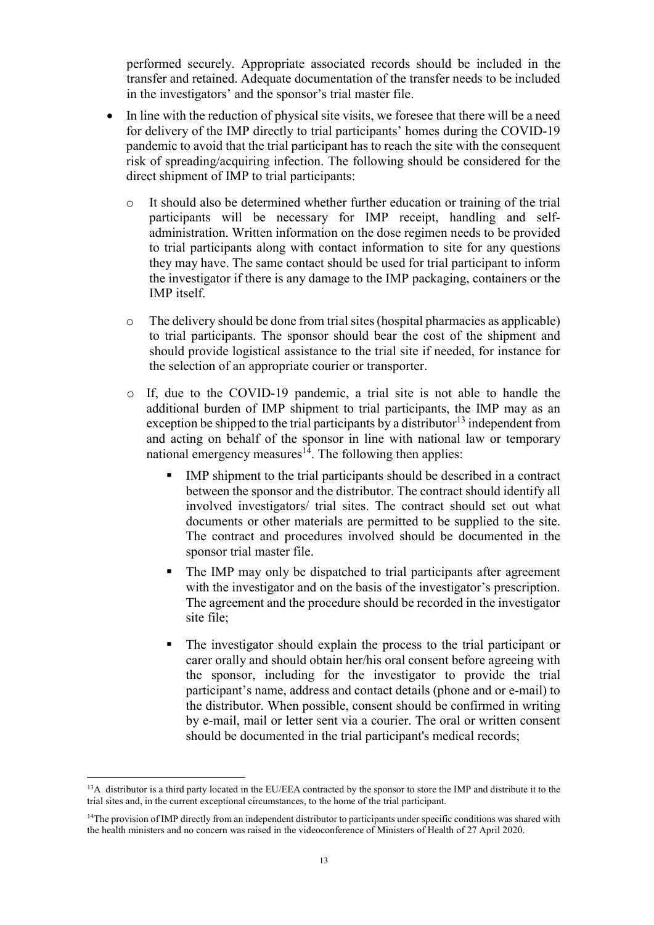performed securely. Appropriate associated records should be included in the transfer and retained. Adequate documentation of the transfer needs to be included in the investigators' and the sponsor's trial master file.

- In line with the reduction of physical site visits, we foresee that there will be a need for delivery of the IMP directly to trial participants' homes during the COVID-19 pandemic to avoid that the trial participant has to reach the site with the consequent risk of spreading/acquiring infection. The following should be considered for the direct shipment of IMP to trial participants:
	- o It should also be determined whether further education or training of the trial participants will be necessary for IMP receipt, handling and selfadministration. Written information on the dose regimen needs to be provided to trial participants along with contact information to site for any questions they may have. The same contact should be used for trial participant to inform the investigator if there is any damage to the IMP packaging, containers or the IMP itself.
	- $\circ$  The delivery should be done from trial sites (hospital pharmacies as applicable) to trial participants. The sponsor should bear the cost of the shipment and should provide logistical assistance to the trial site if needed, for instance for the selection of an appropriate courier or transporter.
	- o If, due to the COVID-19 pandemic, a trial site is not able to handle the additional burden of IMP shipment to trial participants, the IMP may as an exception be shipped to the trial participants by a distributor<sup>13</sup> independent from and acting on behalf of the sponsor in line with national law or temporary national emergency measures<sup> $14$ </sup>. The following then applies:
		- IMP shipment to the trial participants should be described in a contract between the sponsor and the distributor. The contract should identify all involved investigators/ trial sites. The contract should set out what documents or other materials are permitted to be supplied to the site. The contract and procedures involved should be documented in the sponsor trial master file.
		- The IMP may only be dispatched to trial participants after agreement with the investigator and on the basis of the investigator's prescription. The agreement and the procedure should be recorded in the investigator site file;
		- The investigator should explain the process to the trial participant or carer orally and should obtain her/his oral consent before agreeing with the sponsor, including for the investigator to provide the trial participant's name, address and contact details (phone and or e-mail) to the distributor. When possible, consent should be confirmed in writing by e-mail, mail or letter sent via a courier. The oral or written consent should be documented in the trial participant's medical records;

 $\overline{a}$ <sup>13</sup>A distributor is a third party located in the EU/EEA contracted by the sponsor to store the IMP and distribute it to the trial sites and, in the current exceptional circumstances, to the home of the trial participant.

<sup>&</sup>lt;sup>14</sup>The provision of IMP directly from an independent distributor to participants under specific conditions was shared with the health ministers and no concern was raised in the videoconference of Ministers of Health of 27 April 2020.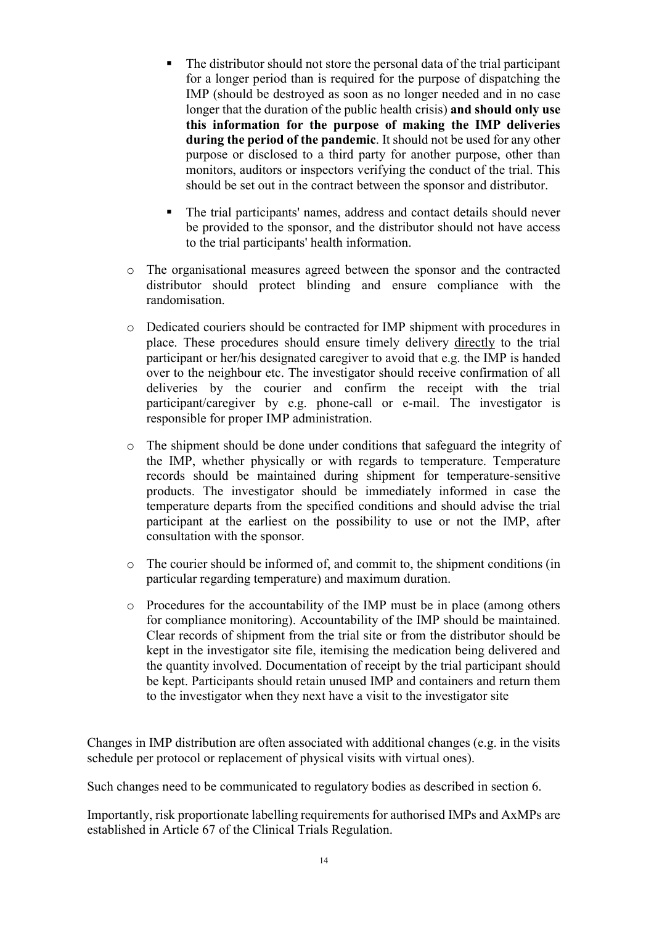- The distributor should not store the personal data of the trial participant for a longer period than is required for the purpose of dispatching the IMP (should be destroyed as soon as no longer needed and in no case longer that the duration of the public health crisis) and should only use this information for the purpose of making the IMP deliveries during the period of the pandemic. It should not be used for any other purpose or disclosed to a third party for another purpose, other than monitors, auditors or inspectors verifying the conduct of the trial. This should be set out in the contract between the sponsor and distributor.
- The trial participants' names, address and contact details should never be provided to the sponsor, and the distributor should not have access to the trial participants' health information.
- o The organisational measures agreed between the sponsor and the contracted distributor should protect blinding and ensure compliance with the randomisation.
- o Dedicated couriers should be contracted for IMP shipment with procedures in place. These procedures should ensure timely delivery directly to the trial participant or her/his designated caregiver to avoid that e.g. the IMP is handed over to the neighbour etc. The investigator should receive confirmation of all deliveries by the courier and confirm the receipt with the trial participant/caregiver by e.g. phone-call or e-mail. The investigator is responsible for proper IMP administration.
- o The shipment should be done under conditions that safeguard the integrity of the IMP, whether physically or with regards to temperature. Temperature records should be maintained during shipment for temperature-sensitive products. The investigator should be immediately informed in case the temperature departs from the specified conditions and should advise the trial participant at the earliest on the possibility to use or not the IMP, after consultation with the sponsor.
- o The courier should be informed of, and commit to, the shipment conditions (in particular regarding temperature) and maximum duration.
- o Procedures for the accountability of the IMP must be in place (among others for compliance monitoring). Accountability of the IMP should be maintained. Clear records of shipment from the trial site or from the distributor should be kept in the investigator site file, itemising the medication being delivered and the quantity involved. Documentation of receipt by the trial participant should be kept. Participants should retain unused IMP and containers and return them to the investigator when they next have a visit to the investigator site

Changes in IMP distribution are often associated with additional changes (e.g. in the visits schedule per protocol or replacement of physical visits with virtual ones).

Such changes need to be communicated to regulatory bodies as described in section 6.

Importantly, risk proportionate labelling requirements for authorised IMPs and AxMPs are established in Article 67 of the Clinical Trials Regulation.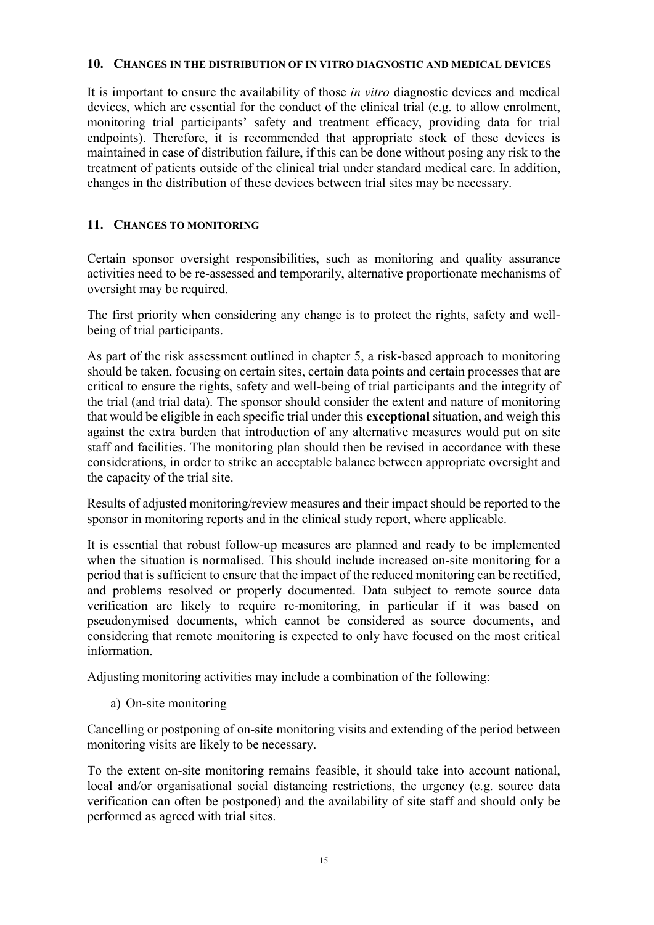#### 10. CHANGES IN THE DISTRIBUTION OF IN VITRO DIAGNOSTIC AND MEDICAL DEVICES

It is important to ensure the availability of those *in vitro* diagnostic devices and medical devices, which are essential for the conduct of the clinical trial (e.g. to allow enrolment, monitoring trial participants' safety and treatment efficacy, providing data for trial endpoints). Therefore, it is recommended that appropriate stock of these devices is maintained in case of distribution failure, if this can be done without posing any risk to the treatment of patients outside of the clinical trial under standard medical care. In addition, changes in the distribution of these devices between trial sites may be necessary.

## 11. CHANGES TO MONITORING

Certain sponsor oversight responsibilities, such as monitoring and quality assurance activities need to be re-assessed and temporarily, alternative proportionate mechanisms of oversight may be required.

The first priority when considering any change is to protect the rights, safety and wellbeing of trial participants.

As part of the risk assessment outlined in chapter 5, a risk-based approach to monitoring should be taken, focusing on certain sites, certain data points and certain processes that are critical to ensure the rights, safety and well-being of trial participants and the integrity of the trial (and trial data). The sponsor should consider the extent and nature of monitoring that would be eligible in each specific trial under this exceptional situation, and weigh this against the extra burden that introduction of any alternative measures would put on site staff and facilities. The monitoring plan should then be revised in accordance with these considerations, in order to strike an acceptable balance between appropriate oversight and the capacity of the trial site.

Results of adjusted monitoring/review measures and their impact should be reported to the sponsor in monitoring reports and in the clinical study report, where applicable.

It is essential that robust follow-up measures are planned and ready to be implemented when the situation is normalised. This should include increased on-site monitoring for a period that is sufficient to ensure that the impact of the reduced monitoring can be rectified, and problems resolved or properly documented. Data subject to remote source data verification are likely to require re-monitoring, in particular if it was based on pseudonymised documents, which cannot be considered as source documents, and considering that remote monitoring is expected to only have focused on the most critical information.

Adjusting monitoring activities may include a combination of the following:

a) On-site monitoring

Cancelling or postponing of on-site monitoring visits and extending of the period between monitoring visits are likely to be necessary.

To the extent on-site monitoring remains feasible, it should take into account national, local and/or organisational social distancing restrictions, the urgency (e.g. source data verification can often be postponed) and the availability of site staff and should only be performed as agreed with trial sites.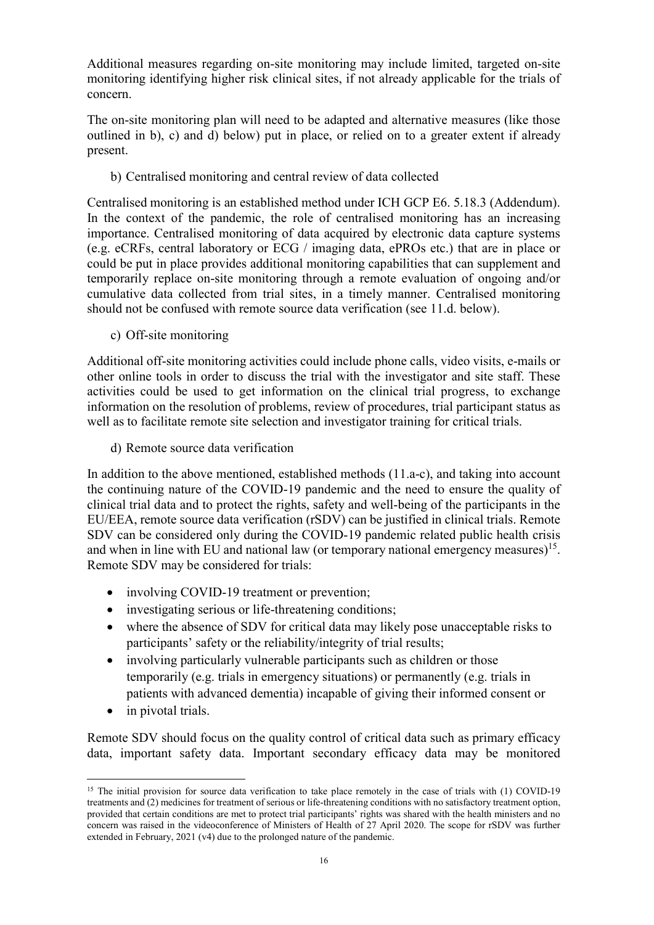Additional measures regarding on-site monitoring may include limited, targeted on-site monitoring identifying higher risk clinical sites, if not already applicable for the trials of concern.

The on-site monitoring plan will need to be adapted and alternative measures (like those outlined in b), c) and d) below) put in place, or relied on to a greater extent if already present.

b) Centralised monitoring and central review of data collected

Centralised monitoring is an established method under ICH GCP E6. 5.18.3 (Addendum). In the context of the pandemic, the role of centralised monitoring has an increasing importance. Centralised monitoring of data acquired by electronic data capture systems (e.g. eCRFs, central laboratory or ECG / imaging data, ePROs etc.) that are in place or could be put in place provides additional monitoring capabilities that can supplement and temporarily replace on-site monitoring through a remote evaluation of ongoing and/or cumulative data collected from trial sites, in a timely manner. Centralised monitoring should not be confused with remote source data verification (see 11.d. below).

c) Off-site monitoring

Additional off-site monitoring activities could include phone calls, video visits, e-mails or other online tools in order to discuss the trial with the investigator and site staff. These activities could be used to get information on the clinical trial progress, to exchange information on the resolution of problems, review of procedures, trial participant status as well as to facilitate remote site selection and investigator training for critical trials.

d) Remote source data verification

In addition to the above mentioned, established methods (11.a-c), and taking into account the continuing nature of the COVID-19 pandemic and the need to ensure the quality of clinical trial data and to protect the rights, safety and well-being of the participants in the EU/EEA, remote source data verification (rSDV) can be justified in clinical trials. Remote SDV can be considered only during the COVID-19 pandemic related public health crisis and when in line with EU and national law (or temporary national emergency measures)<sup>15</sup>. Remote SDV may be considered for trials:

- involving COVID-19 treatment or prevention;
- investigating serious or life-threatening conditions;
- where the absence of SDV for critical data may likely pose unacceptable risks to participants' safety or the reliability/integrity of trial results;
- involving particularly vulnerable participants such as children or those temporarily (e.g. trials in emergency situations) or permanently (e.g. trials in patients with advanced dementia) incapable of giving their informed consent or
- in pivotal trials.

 $\overline{a}$ 

Remote SDV should focus on the quality control of critical data such as primary efficacy data, important safety data. Important secondary efficacy data may be monitored

<sup>&</sup>lt;sup>15</sup> The initial provision for source data verification to take place remotely in the case of trials with (1) COVID-19 treatments and (2) medicines for treatment of serious or life-threatening conditions with no satisfactory treatment option, provided that certain conditions are met to protect trial participants' rights was shared with the health ministers and no concern was raised in the videoconference of Ministers of Health of 27 April 2020. The scope for rSDV was further extended in February, 2021 (v4) due to the prolonged nature of the pandemic.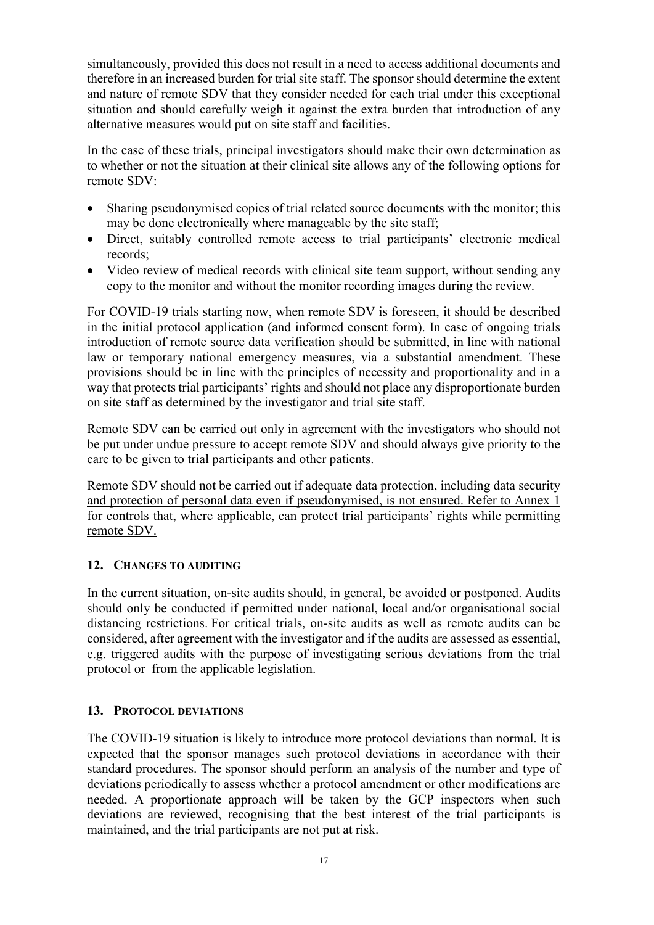simultaneously, provided this does not result in a need to access additional documents and therefore in an increased burden for trial site staff. The sponsor should determine the extent and nature of remote SDV that they consider needed for each trial under this exceptional situation and should carefully weigh it against the extra burden that introduction of any alternative measures would put on site staff and facilities.

In the case of these trials, principal investigators should make their own determination as to whether or not the situation at their clinical site allows any of the following options for remote SDV:

- Sharing pseudonymised copies of trial related source documents with the monitor; this may be done electronically where manageable by the site staff;
- Direct, suitably controlled remote access to trial participants' electronic medical records;
- Video review of medical records with clinical site team support, without sending any copy to the monitor and without the monitor recording images during the review.

For COVID-19 trials starting now, when remote SDV is foreseen, it should be described in the initial protocol application (and informed consent form). In case of ongoing trials introduction of remote source data verification should be submitted, in line with national law or temporary national emergency measures, via a substantial amendment. These provisions should be in line with the principles of necessity and proportionality and in a way that protects trial participants' rights and should not place any disproportionate burden on site staff as determined by the investigator and trial site staff.

Remote SDV can be carried out only in agreement with the investigators who should not be put under undue pressure to accept remote SDV and should always give priority to the care to be given to trial participants and other patients.

Remote SDV should not be carried out if adequate data protection, including data security and protection of personal data even if pseudonymised, is not ensured. Refer to Annex 1 for controls that, where applicable, can protect trial participants' rights while permitting remote SDV.

# 12. CHANGES TO AUDITING

In the current situation, on-site audits should, in general, be avoided or postponed. Audits should only be conducted if permitted under national, local and/or organisational social distancing restrictions. For critical trials, on-site audits as well as remote audits can be considered, after agreement with the investigator and if the audits are assessed as essential, e.g. triggered audits with the purpose of investigating serious deviations from the trial protocol or from the applicable legislation.

#### 13. PROTOCOL DEVIATIONS

The COVID-19 situation is likely to introduce more protocol deviations than normal. It is expected that the sponsor manages such protocol deviations in accordance with their standard procedures. The sponsor should perform an analysis of the number and type of deviations periodically to assess whether a protocol amendment or other modifications are needed. A proportionate approach will be taken by the GCP inspectors when such deviations are reviewed, recognising that the best interest of the trial participants is maintained, and the trial participants are not put at risk.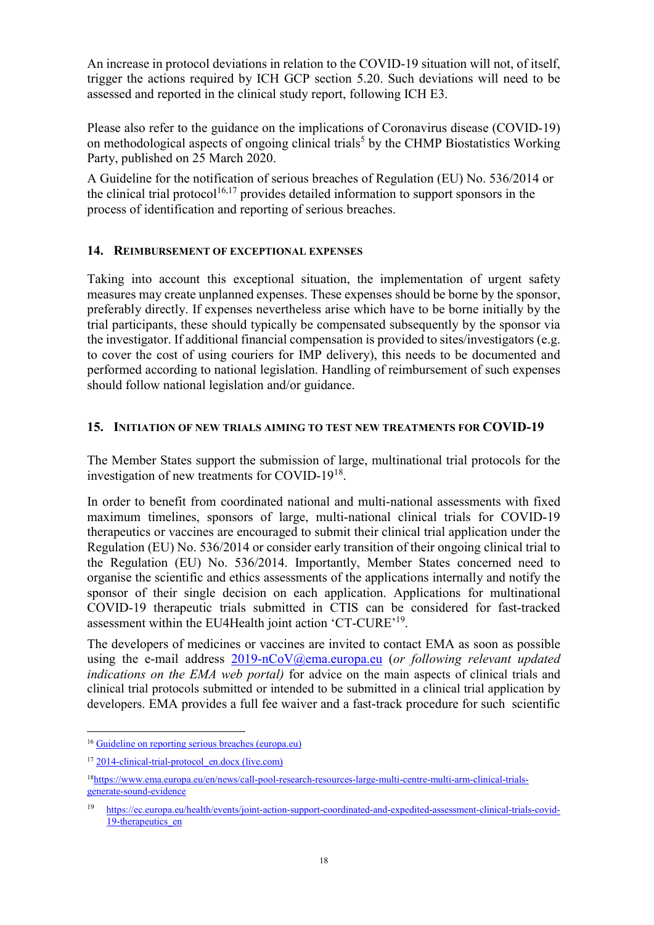An increase in protocol deviations in relation to the COVID-19 situation will not, of itself, trigger the actions required by ICH GCP section 5.20. Such deviations will need to be assessed and reported in the clinical study report, following ICH E3.

Please also refer to the guidance on the implications of Coronavirus disease (COVID-19) on methodological aspects of ongoing clinical trials<sup>5</sup> by the CHMP Biostatistics Working Party, published on 25 March 2020.

A Guideline for the notification of serious breaches of Regulation (EU) No. 536/2014 or the clinical trial protocol<sup>16,17</sup> provides detailed information to support sponsors in the process of identification and reporting of serious breaches.

## 14. REIMBURSEMENT OF EXCEPTIONAL EXPENSES

Taking into account this exceptional situation, the implementation of urgent safety measures may create unplanned expenses. These expenses should be borne by the sponsor, preferably directly. If expenses nevertheless arise which have to be borne initially by the trial participants, these should typically be compensated subsequently by the sponsor via the investigator. If additional financial compensation is provided to sites/investigators (e.g. to cover the cost of using couriers for IMP delivery), this needs to be documented and performed according to national legislation. Handling of reimbursement of such expenses should follow national legislation and/or guidance.

#### 15. INITIATION OF NEW TRIALS AIMING TO TEST NEW TREATMENTS FOR COVID-19

The Member States support the submission of large, multinational trial protocols for the investigation of new treatments for COVID-19 $^{18}$ .

In order to benefit from coordinated national and multi-national assessments with fixed maximum timelines, sponsors of large, multi-national clinical trials for COVID-19 therapeutics or vaccines are encouraged to submit their clinical trial application under the Regulation (EU) No. 536/2014 or consider early transition of their ongoing clinical trial to the Regulation (EU) No. 536/2014. Importantly, Member States concerned need to organise the scientific and ethics assessments of the applications internally and notify the sponsor of their single decision on each application. Applications for multinational COVID-19 therapeutic trials submitted in CTIS can be considered for fast-tracked assessment within the EU4Health joint action 'CT-CURE'<sup>19</sup>.

The developers of medicines or vaccines are invited to contact EMA as soon as possible using the e-mail address 2019-nCoV@ema.europa.eu (or following relevant updated indications on the EMA web portal) for advice on the main aspects of clinical trials and clinical trial protocols submitted or intended to be submitted in a clinical trial application by developers. EMA provides a full fee waiver and a fast-track procedure for such scientific

 $\overline{a}$ 

<sup>&</sup>lt;sup>16</sup> Guideline on reporting serious breaches (europa.eu)

<sup>&</sup>lt;sup>17</sup> 2014-clinical-trial-protocol\_en.docx (live.com)

<sup>18</sup>https://www.ema.europa.eu/en/news/call-pool-research-resources-large-multi-centre-multi-arm-clinical-trialsgenerate-sound-evidence

<sup>19</sup> https://ec.europa.eu/health/events/joint-action-support-coordinated-and-expedited-assessment-clinical-trials-covid-19-therapeutics en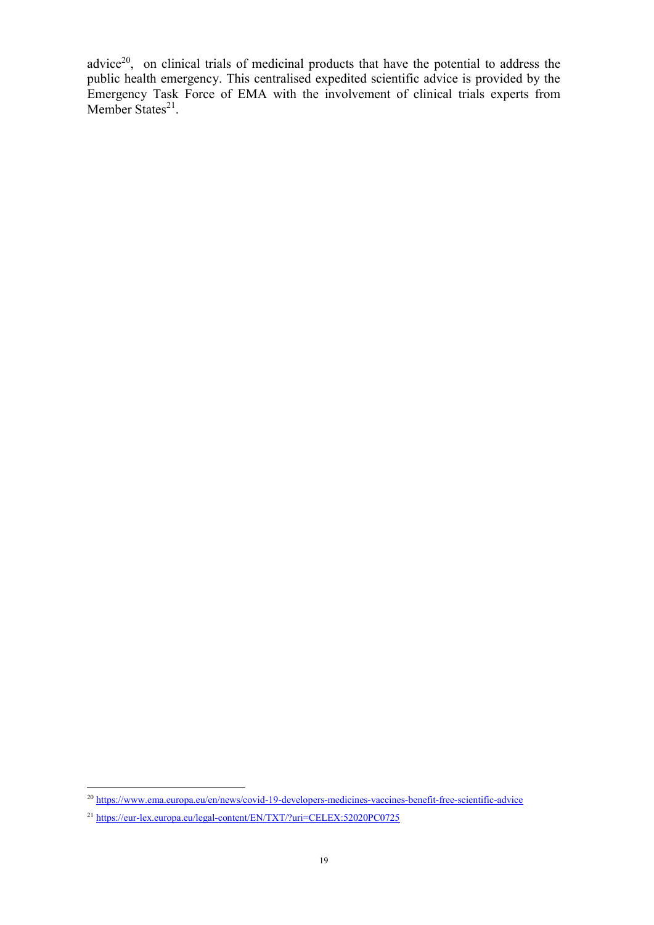advice $2^0$ , on clinical trials of medicinal products that have the potential to address the public health emergency. This centralised expedited scientific advice is provided by the Emergency Task Force of EMA with the involvement of clinical trials experts from Member States<sup>21</sup>.

 $\overline{a}$ 

<sup>&</sup>lt;sup>20</sup> https://www.ema.europa.eu/en/news/covid-19-developers-medicines-vaccines-benefit-free-scientific-advice

<sup>21</sup> https://eur-lex.europa.eu/legal-content/EN/TXT/?uri=CELEX:52020PC0725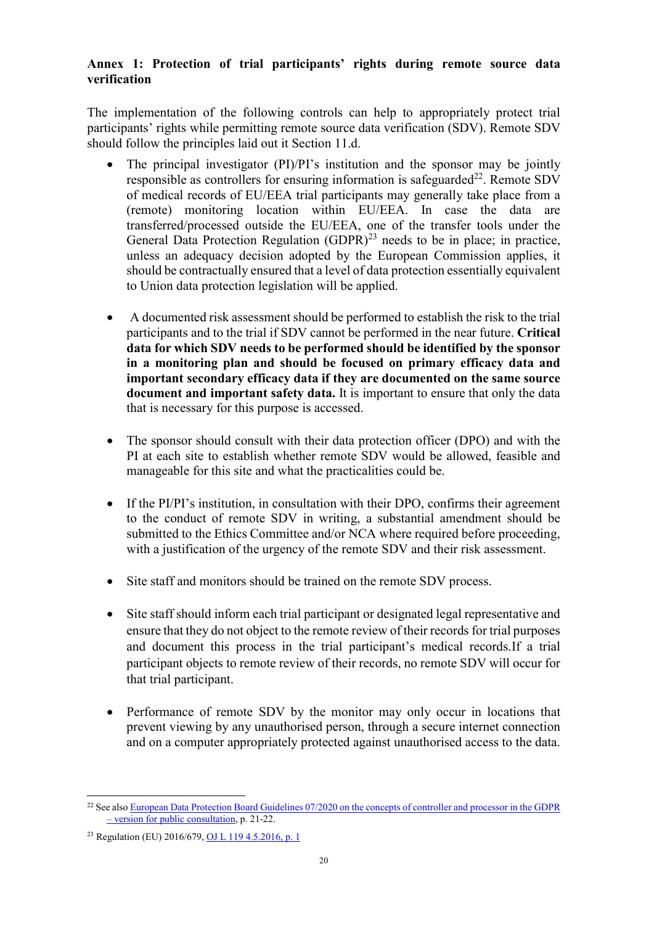## Annex 1: Protection of trial participants' rights during remote source data verification

The implementation of the following controls can help to appropriately protect trial participants' rights while permitting remote source data verification (SDV). Remote SDV should follow the principles laid out it Section 11.d.

- The principal investigator (PI)/PI's institution and the sponsor may be jointly responsible as controllers for ensuring information is safeguarded<sup>22</sup>. Remote SDV of medical records of EU/EEA trial participants may generally take place from a (remote) monitoring location within EU/EEA. In case the data are transferred/processed outside the EU/EEA, one of the transfer tools under the General Data Protection Regulation  $(GDPR)^{23}$  needs to be in place; in practice, unless an adequacy decision adopted by the European Commission applies, it should be contractually ensured that a level of data protection essentially equivalent to Union data protection legislation will be applied.
- A documented risk assessment should be performed to establish the risk to the trial participants and to the trial if SDV cannot be performed in the near future. Critical data for which SDV needs to be performed should be identified by the sponsor in a monitoring plan and should be focused on primary efficacy data and important secondary efficacy data if they are documented on the same source document and important safety data. It is important to ensure that only the data that is necessary for this purpose is accessed.
- The sponsor should consult with their data protection officer (DPO) and with the PI at each site to establish whether remote SDV would be allowed, feasible and manageable for this site and what the practicalities could be.
- If the PI/PI's institution, in consultation with their DPO, confirms their agreement to the conduct of remote SDV in writing, a substantial amendment should be submitted to the Ethics Committee and/or NCA where required before proceeding, with a justification of the urgency of the remote SDV and their risk assessment.
- Site staff and monitors should be trained on the remote SDV process.
- Site staff should inform each trial participant or designated legal representative and ensure that they do not object to the remote review of their records for trial purposes and document this process in the trial participant's medical records.If a trial participant objects to remote review of their records, no remote SDV will occur for that trial participant.
- Performance of remote SDV by the monitor may only occur in locations that prevent viewing by any unauthorised person, through a secure internet connection and on a computer appropriately protected against unauthorised access to the data.

 $\overline{a}$ <sup>22</sup> See also European Data Protection Board Guidelines 07/2020 on the concepts of controller and processor in the GDPR – version for public consultation, p. 21-22.

<sup>23</sup> Regulation (EU) 2016/679, OJ L 119 4.5.2016, p. 1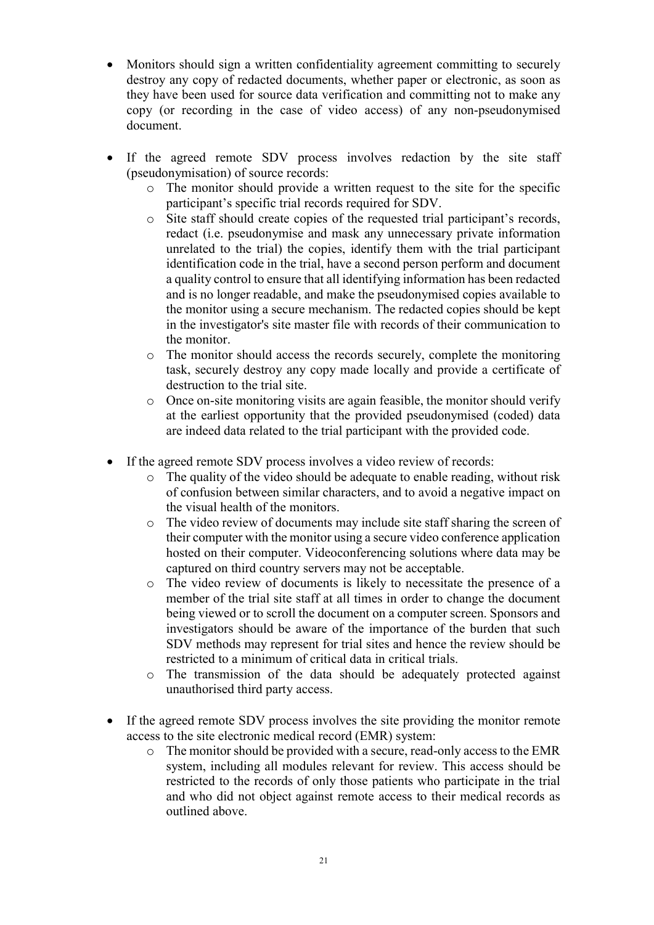- Monitors should sign a written confidentiality agreement committing to securely destroy any copy of redacted documents, whether paper or electronic, as soon as they have been used for source data verification and committing not to make any copy (or recording in the case of video access) of any non-pseudonymised document.
- If the agreed remote SDV process involves redaction by the site staff (pseudonymisation) of source records:
	- o The monitor should provide a written request to the site for the specific participant's specific trial records required for SDV.
	- o Site staff should create copies of the requested trial participant's records, redact (i.e. pseudonymise and mask any unnecessary private information unrelated to the trial) the copies, identify them with the trial participant identification code in the trial, have a second person perform and document a quality control to ensure that all identifying information has been redacted and is no longer readable, and make the pseudonymised copies available to the monitor using a secure mechanism. The redacted copies should be kept in the investigator's site master file with records of their communication to the monitor.
	- o The monitor should access the records securely, complete the monitoring task, securely destroy any copy made locally and provide a certificate of destruction to the trial site.
	- o Once on-site monitoring visits are again feasible, the monitor should verify at the earliest opportunity that the provided pseudonymised (coded) data are indeed data related to the trial participant with the provided code.
- If the agreed remote SDV process involves a video review of records:
	- $\circ$  The quality of the video should be adequate to enable reading, without risk of confusion between similar characters, and to avoid a negative impact on the visual health of the monitors.
	- o The video review of documents may include site staff sharing the screen of their computer with the monitor using a secure video conference application hosted on their computer. Videoconferencing solutions where data may be captured on third country servers may not be acceptable.
	- o The video review of documents is likely to necessitate the presence of a member of the trial site staff at all times in order to change the document being viewed or to scroll the document on a computer screen. Sponsors and investigators should be aware of the importance of the burden that such SDV methods may represent for trial sites and hence the review should be restricted to a minimum of critical data in critical trials.
	- o The transmission of the data should be adequately protected against unauthorised third party access.
- If the agreed remote SDV process involves the site providing the monitor remote access to the site electronic medical record (EMR) system:
	- o The monitor should be provided with a secure, read-only access to the EMR system, including all modules relevant for review. This access should be restricted to the records of only those patients who participate in the trial and who did not object against remote access to their medical records as outlined above.